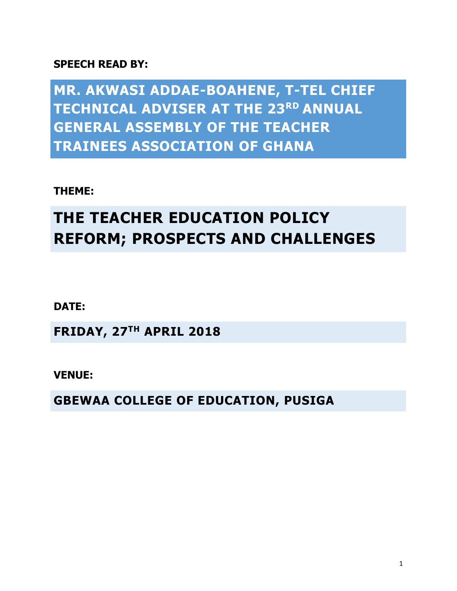## **SPEECH READ BY:**

**MR. AKWASI ADDAE-BOAHENE, T-TEL CHIEF TECHNICAL ADVISER AT THE 23RD ANNUAL GENERAL ASSEMBLY OF THE TEACHER TRAINEES ASSOCIATION OF GHANA**

**THEME:** 

## **THE TEACHER EDUCATION POLICY REFORM; PROSPECTS AND CHALLENGES**

**DATE:** 

**FRIDAY, 27TH APRIL 2018**

**VENUE:** 

**GBEWAA COLLEGE OF EDUCATION, PUSIGA**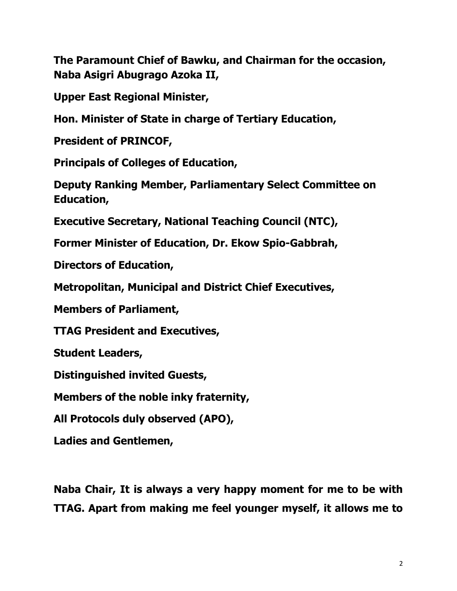**The Paramount Chief of Bawku, and Chairman for the occasion, Naba Asigri Abugrago Azoka II,**

**Upper East Regional Minister,**

**Hon. Minister of State in charge of Tertiary Education,**

**President of PRINCOF,**

**Principals of Colleges of Education,**

**Deputy Ranking Member, Parliamentary Select Committee on Education,** 

**Executive Secretary, National Teaching Council (NTC),**

**Former Minister of Education, Dr. Ekow Spio-Gabbrah,**

**Directors of Education,**

**Metropolitan, Municipal and District Chief Executives,** 

**Members of Parliament,**

**TTAG President and Executives,**

**Student Leaders,**

**Distinguished invited Guests,**

**Members of the noble inky fraternity,**

**All Protocols duly observed (APO),**

**Ladies and Gentlemen,**

**Naba Chair, It is always a very happy moment for me to be with TTAG. Apart from making me feel younger myself, it allows me to**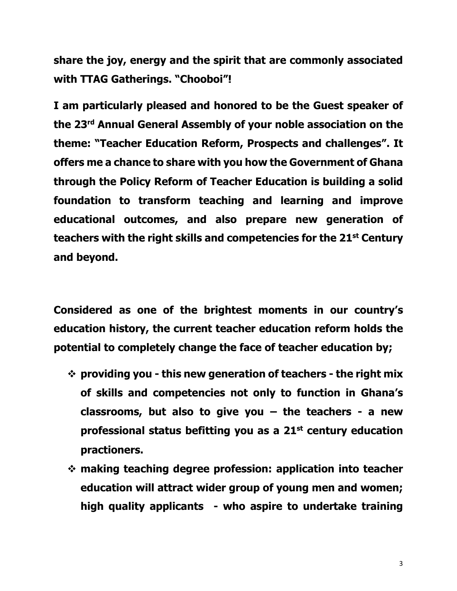**share the joy, energy and the spirit that are commonly associated with TTAG Gatherings. "Chooboi"!**

**I am particularly pleased and honored to be the Guest speaker of the 23rd Annual General Assembly of your noble association on the theme: "Teacher Education Reform, Prospects and challenges". It offers me a chance to share with you how the Government of Ghana through the Policy Reform of Teacher Education is building a solid foundation to transform teaching and learning and improve educational outcomes, and also prepare new generation of teachers with the right skills and competencies for the 21st Century and beyond.** 

**Considered as one of the brightest moments in our country's education history, the current teacher education reform holds the potential to completely change the face of teacher education by;**

- **providing you - this new generation of teachers - the right mix of skills and competencies not only to function in Ghana's classrooms, but also to give you – the teachers - a new professional status befitting you as a 21st century education practioners.**
- **making teaching degree profession: application into teacher education will attract wider group of young men and women; high quality applicants - who aspire to undertake training**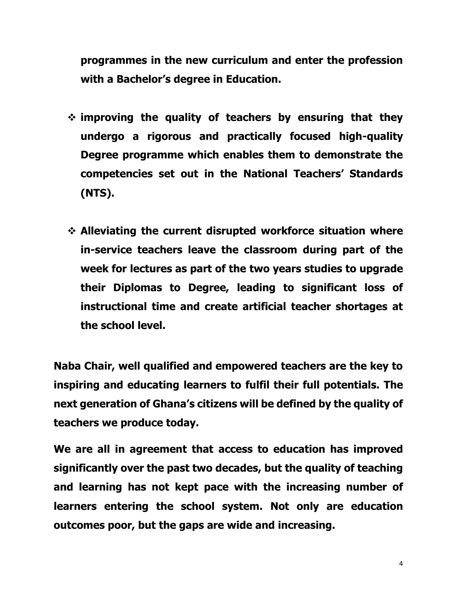**programmes in the new curriculum and enter the profession with a Bachelor's degree in Education.** 

- **improving the quality of teachers by ensuring that they undergo a rigorous and practically focused high-quality Degree programme which enables them to demonstrate the competencies set out in the National Teachers' Standards (NTS).**
- **Alleviating the current disrupted workforce situation where in-service teachers leave the classroom during part of the week for lectures as part of the two years studies to upgrade their Diplomas to Degree, leading to significant loss of instructional time and create artificial teacher shortages at the school level.**

**Naba Chair, well qualified and empowered teachers are the key to inspiring and educating learners to fulfil their full potentials. The next generation of Ghana's citizens will be defined by the quality of teachers we produce today.**

**We are all in agreement that access to education has improved significantly over the past two decades, but the quality of teaching and learning has not kept pace with the increasing number of learners entering the school system. Not only are education outcomes poor, but the gaps are wide and increasing.**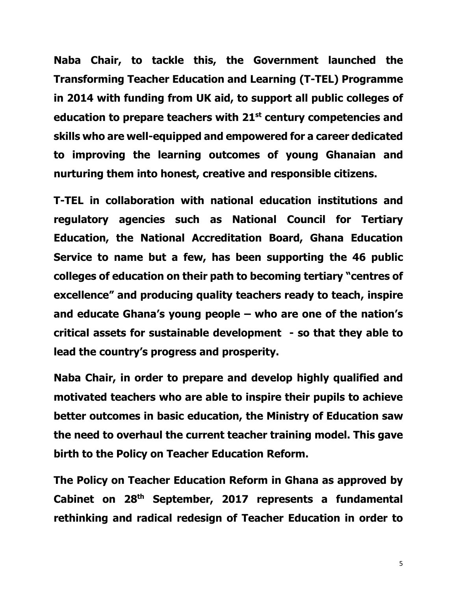**Naba Chair, to tackle this, the Government launched the Transforming Teacher Education and Learning (T-TEL) Programme in 2014 with funding from UK aid, to support all public colleges of education to prepare teachers with 21st century competencies and skills who are well-equipped and empowered for a career dedicated to improving the learning outcomes of young Ghanaian and nurturing them into honest, creative and responsible citizens.**

**T-TEL in collaboration with national education institutions and regulatory agencies such as National Council for Tertiary Education, the National Accreditation Board, Ghana Education Service to name but a few, has been supporting the 46 public colleges of education on their path to becoming tertiary "centres of excellence" and producing quality teachers ready to teach, inspire and educate Ghana's young people – who are one of the nation's critical assets for sustainable development - so that they able to lead the country's progress and prosperity.**

**Naba Chair, in order to prepare and develop highly qualified and motivated teachers who are able to inspire their pupils to achieve better outcomes in basic education, the Ministry of Education saw the need to overhaul the current teacher training model. This gave birth to the Policy on Teacher Education Reform.** 

**The Policy on Teacher Education Reform in Ghana as approved by Cabinet on 28th September, 2017 represents a fundamental rethinking and radical redesign of Teacher Education in order to**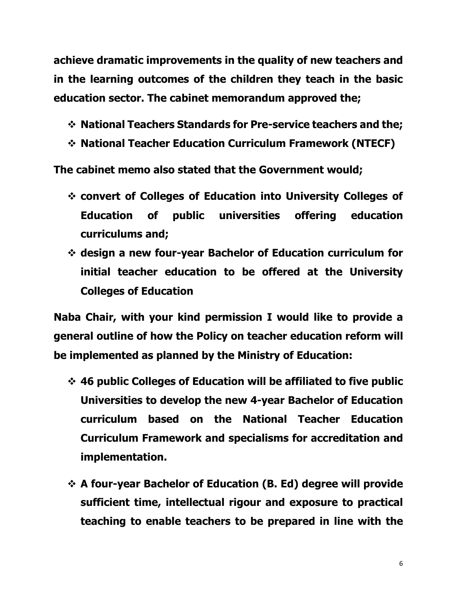**achieve dramatic improvements in the quality of new teachers and in the learning outcomes of the children they teach in the basic education sector. The cabinet memorandum approved the;**

- **National Teachers Standards for Pre-service teachers and the;**
- **National Teacher Education Curriculum Framework (NTECF)**

**The cabinet memo also stated that the Government would;**

- **convert of Colleges of Education into University Colleges of Education of public universities offering education curriculums and;**
- **design a new four-year Bachelor of Education curriculum for initial teacher education to be offered at the University Colleges of Education**

**Naba Chair, with your kind permission I would like to provide a general outline of how the Policy on teacher education reform will be implemented as planned by the Ministry of Education:**

- **46 public Colleges of Education will be affiliated to five public Universities to develop the new 4-year Bachelor of Education curriculum based on the National Teacher Education Curriculum Framework and specialisms for accreditation and implementation.**
- **A four-year Bachelor of Education (B. Ed) degree will provide sufficient time, intellectual rigour and exposure to practical teaching to enable teachers to be prepared in line with the**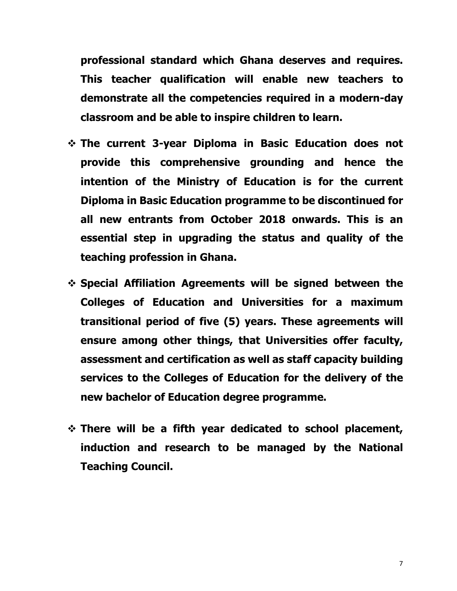**professional standard which Ghana deserves and requires. This teacher qualification will enable new teachers to demonstrate all the competencies required in a modern-day classroom and be able to inspire children to learn.**

- **The current 3-year Diploma in Basic Education does not provide this comprehensive grounding and hence the intention of the Ministry of Education is for the current Diploma in Basic Education programme to be discontinued for all new entrants from October 2018 onwards. This is an essential step in upgrading the status and quality of the teaching profession in Ghana.**
- **Special Affiliation Agreements will be signed between the Colleges of Education and Universities for a maximum transitional period of five (5) years. These agreements will ensure among other things, that Universities offer faculty, assessment and certification as well as staff capacity building services to the Colleges of Education for the delivery of the new bachelor of Education degree programme.**
- **There will be a fifth year dedicated to school placement, induction and research to be managed by the National Teaching Council.**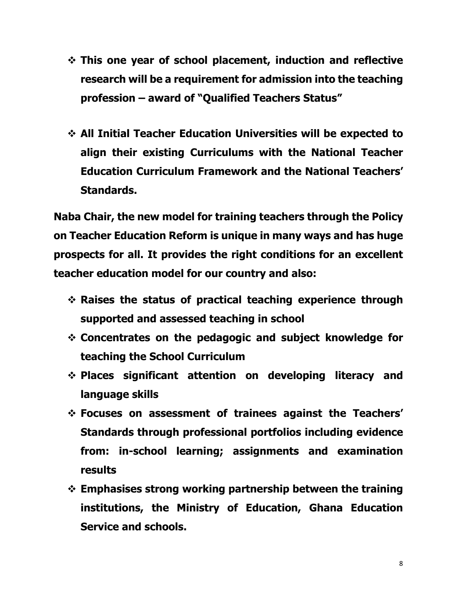- **This one year of school placement, induction and reflective research will be a requirement for admission into the teaching profession – award of "Qualified Teachers Status"**
- **All Initial Teacher Education Universities will be expected to align their existing Curriculums with the National Teacher Education Curriculum Framework and the National Teachers' Standards.**

**Naba Chair, the new model for training teachers through the Policy on Teacher Education Reform is unique in many ways and has huge prospects for all. It provides the right conditions for an excellent teacher education model for our country and also:**

- **Raises the status of practical teaching experience through supported and assessed teaching in school**
- **Concentrates on the pedagogic and subject knowledge for teaching the School Curriculum**
- **Places significant attention on developing literacy and language skills**
- **Focuses on assessment of trainees against the Teachers' Standards through professional portfolios including evidence from: in-school learning; assignments and examination results**
- **Emphasises strong working partnership between the training institutions, the Ministry of Education, Ghana Education Service and schools.**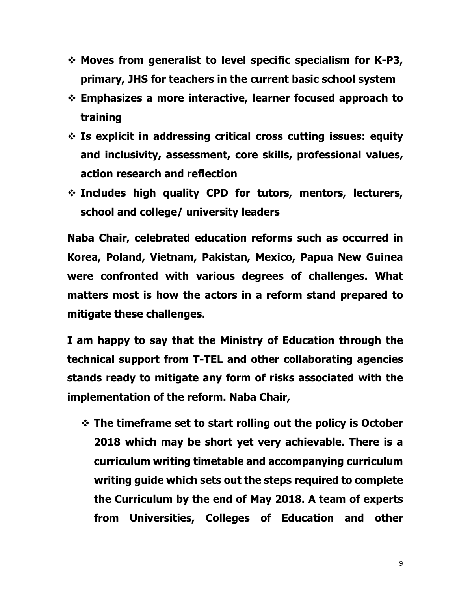- **Moves from generalist to level specific specialism for K-P3, primary, JHS for teachers in the current basic school system**
- **Emphasizes a more interactive, learner focused approach to training**
- **Is explicit in addressing critical cross cutting issues: equity and inclusivity, assessment, core skills, professional values, action research and reflection**
- **Includes high quality CPD for tutors, mentors, lecturers, school and college/ university leaders**

**Naba Chair, celebrated education reforms such as occurred in Korea, Poland, Vietnam, Pakistan, Mexico, Papua New Guinea were confronted with various degrees of challenges. What matters most is how the actors in a reform stand prepared to mitigate these challenges.**

**I am happy to say that the Ministry of Education through the technical support from T-TEL and other collaborating agencies stands ready to mitigate any form of risks associated with the implementation of the reform. Naba Chair,**

 **The timeframe set to start rolling out the policy is October 2018 which may be short yet very achievable. There is a curriculum writing timetable and accompanying curriculum writing guide which sets out the steps required to complete the Curriculum by the end of May 2018. A team of experts from Universities, Colleges of Education and other**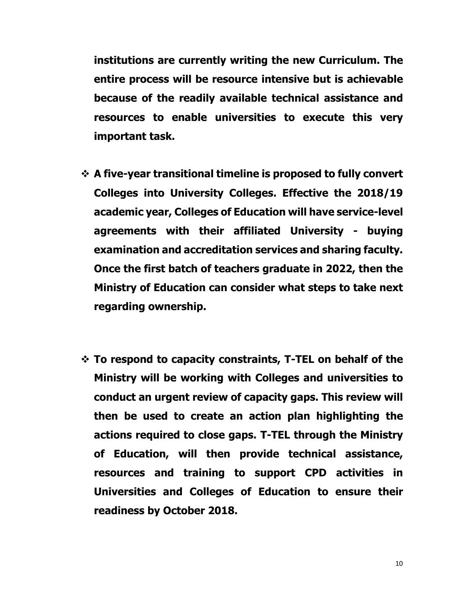**institutions are currently writing the new Curriculum. The entire process will be resource intensive but is achievable because of the readily available technical assistance and resources to enable universities to execute this very important task.**

- **A five-year transitional timeline is proposed to fully convert Colleges into University Colleges. Effective the 2018/19 academic year, Colleges of Education will have service-level agreements with their affiliated University - buying examination and accreditation services and sharing faculty. Once the first batch of teachers graduate in 2022, then the Ministry of Education can consider what steps to take next regarding ownership.**
- **To respond to capacity constraints, T-TEL on behalf of the Ministry will be working with Colleges and universities to conduct an urgent review of capacity gaps. This review will then be used to create an action plan highlighting the actions required to close gaps. T-TEL through the Ministry of Education, will then provide technical assistance, resources and training to support CPD activities in Universities and Colleges of Education to ensure their readiness by October 2018.**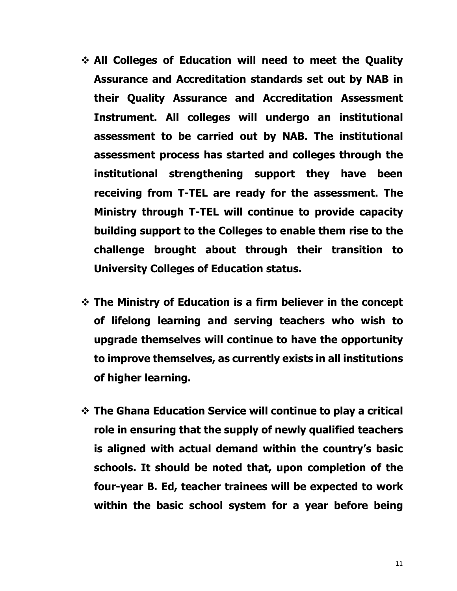- **All Colleges of Education will need to meet the Quality Assurance and Accreditation standards set out by NAB in their Quality Assurance and Accreditation Assessment Instrument. All colleges will undergo an institutional assessment to be carried out by NAB. The institutional assessment process has started and colleges through the institutional strengthening support they have been receiving from T-TEL are ready for the assessment. The Ministry through T-TEL will continue to provide capacity building support to the Colleges to enable them rise to the challenge brought about through their transition to University Colleges of Education status.**
- **The Ministry of Education is a firm believer in the concept of lifelong learning and serving teachers who wish to upgrade themselves will continue to have the opportunity to improve themselves, as currently exists in all institutions of higher learning.**
- **The Ghana Education Service will continue to play a critical role in ensuring that the supply of newly qualified teachers is aligned with actual demand within the country's basic schools. It should be noted that, upon completion of the four-year B. Ed, teacher trainees will be expected to work within the basic school system for a year before being**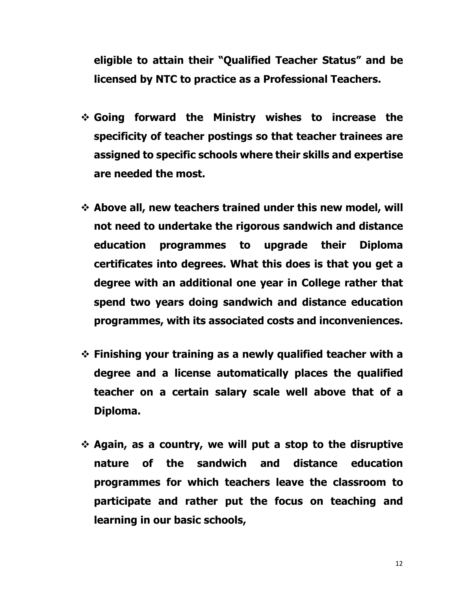**eligible to attain their "Qualified Teacher Status" and be licensed by NTC to practice as a Professional Teachers.**

- **Going forward the Ministry wishes to increase the specificity of teacher postings so that teacher trainees are assigned to specific schools where their skills and expertise are needed the most.**
- **Above all, new teachers trained under this new model, will not need to undertake the rigorous sandwich and distance education programmes to upgrade their Diploma certificates into degrees. What this does is that you get a degree with an additional one year in College rather that spend two years doing sandwich and distance education programmes, with its associated costs and inconveniences.**
- **Finishing your training as a newly qualified teacher with a degree and a license automatically places the qualified teacher on a certain salary scale well above that of a Diploma.**
- **Again, as a country, we will put a stop to the disruptive nature of the sandwich and distance education programmes for which teachers leave the classroom to participate and rather put the focus on teaching and learning in our basic schools,**